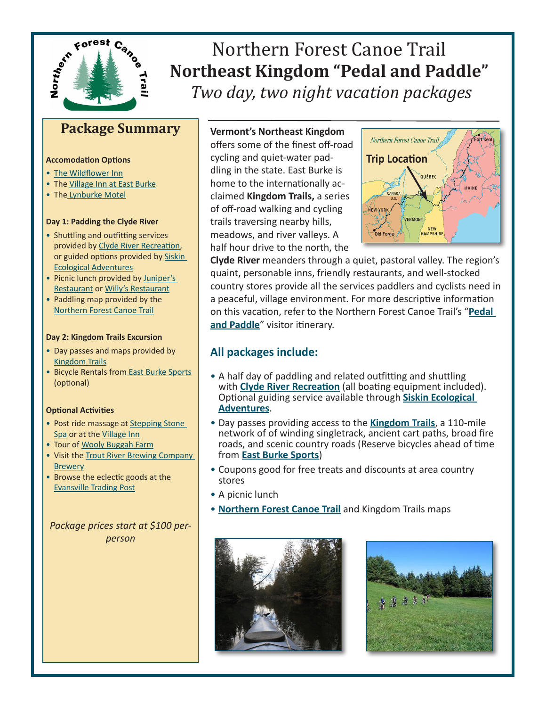

# Northern Forest Canoe Trail **Northeast Kingdom "Pedal and Paddle"**  *Two day, two night vacation packages*

## **Package Summary**

#### **Accomodation Options**

- [The Wildflower Inn](http://northernforestcanoetrail.org/sitePages/tripPlanner.cfm?action=serviceDetails&serviceID=610§ionID=6)
- The [Village Inn at East Burke](http://northernforestcanoetrail.org/sitePages/tripPlanner.cfm?action=serviceDetails&serviceID=601§ionID=6)
- The [Lynburke Motel](http://www.lynburkemotel.com/)

#### **Day 1: Padding the Clyde River**

- Shuttling and outfitting services provided by [Clyde River Recreation,](http://northernforestcanoetrail.org/sitePages/tripPlanner.cfm?action=serviceDetails&serviceID=559§ionID=6) or guided options provided by [Siskin](http://northernforestcanoetrail.org/sitePages/tripPlanner.cfm?action=serviceDetails&serviceID=310§ionID=6)  [Ecological Adventures](http://northernforestcanoetrail.org/sitePages/tripPlanner.cfm?action=serviceDetails&serviceID=310§ionID=6)
- Picnic lunch provided by Juniper's [Restaurant](http://www.wildflowerinn.com/dining/junipersrestaurant/default.shtml) or [Willy's Restaurant](http://northernforestcanoetrail.org/sitePages/tripPlanner.cfm?action=serviceDetails&serviceID=608§ionID=6)
- Paddling map provided by the [Northern Forest Canoe Trail](http://www.northernforestcanoetrail.org)

#### **Day 2: Kingdom Trails Excursion**

- Day passes and maps provided by [Kingdom Trails](http://northernforestcanoetrail.org/sitePages/tripPlanner.cfm?action=serviceDetails&serviceID=307§ionID=6)
- Bicycle Rentals fro[m East Burke Sports](http://northernforestcanoetrail.org/sitePages/tripPlanner.cfm?action=serviceDetails&serviceID=307§ionID=6) (optional)

#### **Optional Activities**

- Post ride massage at Stepping Stone [Spa](http://www.steppingstonespa.com/) or at the [Village Inn](http://northernforestcanoetrail.org/sitePages/tripPlanner.cfm?action=serviceDetails&serviceID=601§ionID=6)
- Tour of [Wooly Buggah Farm](http://northernforestcanoetrail.org/sitePages/tripPlanner.cfm?action=serviceDetails&serviceID=599§ionID=6)
- Visit the Trout River Brewing Company **[Brewer](http://northernforestcanoetrail.org/sitePages/tripPlanner.cfm?action=serviceDetails&serviceID=600§ionID=6)y**
- Browse the eclectic goods at the [Evansville Trading Post](http://northernforestcanoetrail.org/sitePages/tripPlanner.cfm?action=serviceDetails&serviceID=613§ionID=6)

*Package prices start at \$100 perperson*

## **Vermont's Northeast Kingdom**

offers some of the finest off-road cycling and quiet-water paddling in the state. East Burke is home to the internationally acclaimed **Kingdom Trails,** a series of off-road walking and cycling trails traversing nearby hills, meadows, and river valleys. A half hour drive to the north, the



**Clyde River** meanders through a quiet, pastoral valley. The region's quaint, personable inns, friendly restaurants, and well-stocked country stores provide all the services paddlers and cyclists need in a peaceful, village environment. For more descriptive information on this vacation, refer to the Northern Forest Canoe Trail's "**[Pedal](http://northernforestcanoetrail.org/media/NFCT%20Pedal%20And%20Paddle%20Itinerary%2Epdf)  [and Paddle](http://northernforestcanoetrail.org/media/NFCT%20Pedal%20And%20Paddle%20Itinerary%2Epdf)**" visitor itinerary.

## **All packages include:**

- A half day of paddling and related outfitting and shuttling with **[Clyde River Recreatio](http://northernforestcanoetrail.org/sitePages/tripPlanner.cfm?action=serviceDetails&serviceID=559§ionID=6)n** (all boating equipment included). Optional guiding service available through **[Siskin Ecological](http://northernforestcanoetrail.org/sitePages/tripPlanner.cfm?action=serviceDetails&serviceID=310§ionID=6)  [Adventures](http://northernforestcanoetrail.org/sitePages/tripPlanner.cfm?action=serviceDetails&serviceID=310§ionID=6)**.
- Day passes providing access to the **[Kingdom Trails](http://northernforestcanoetrail.org/sitePages/tripPlanner.cfm?action=serviceDetails&serviceID=598§ionID=6)**, a 110-mile network of of winding singletrack, ancient cart paths, broad fire roads, and scenic country roads (Reserve bicycles ahead of time from **[East Burke Sports](http://northernforestcanoetrail.org/sitePages/tripPlanner.cfm?action=serviceDetails&serviceID=307§ionID=6)**)
- Coupons good for free treats and discounts at area country stores
- A picnic lunch
- **[Northern Forest Canoe Trail](http://www.northernforestcanoetrail.org)** and Kingdom Trails maps